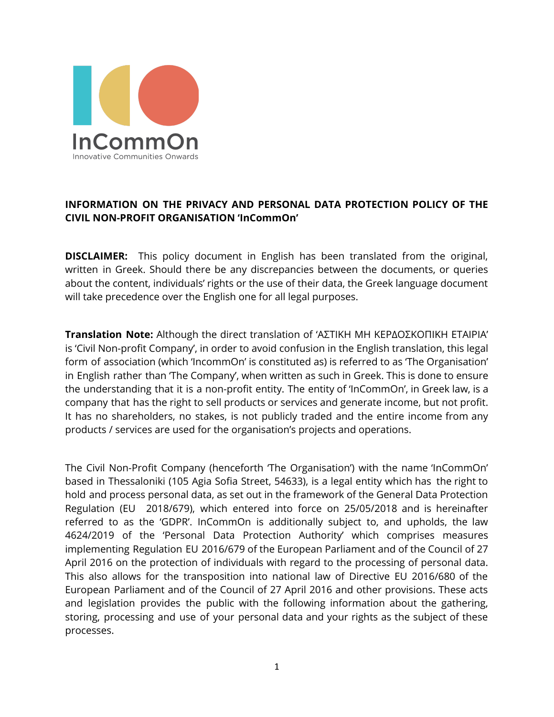

# **INFORMATION ON THE PRIVACY AND PERSONAL DATA PROTECTION POLICY OF THE CIVIL NON-PROFIT ORGANISATION 'InCommOn'**

**DISCLAIMER:** This policy document in English has been translated from the original, written in Greek. Should there be any discrepancies between the documents, or queries about the content, individuals' rights or the use of their data, the Greek language document will take precedence over the English one for all legal purposes.

**Translation Note:** Although the direct translation of 'ΑΣΤΙΚΗ ΜΗ ΚΕΡΔΟΣΚΟΠΙΚΗ ΕΤΑΙΡΙΑ' is 'Civil Non-profit Company', in order to avoid confusion in the English translation, this legal form of association (which 'IncommOn' is constituted as) is referred to as 'The Organisation' in English rather than 'The Company', when written as such in Greek. This is done to ensure the understanding that it is a non-profit entity. The entity of 'InCommOn', in Greek law, is a company that has the right to sell products or services and generate income, but not profit. It has no shareholders, no stakes, is not publicly traded and the entire income from any products / services are used for the organisation's projects and operations.

The Civil Non-Profit Company (henceforth 'The Organisation') with the name 'InCommOn' based in Thessaloniki (105 Agia Sofia Street, 54633), is a legal entity which has the right to hold and process personal data, as set out in the framework of the General Data Protection Regulation (EU 2018/679), which entered into force on 25/05/2018 and is hereinafter referred to as the 'GDPR'. InCommOn is additionally subject to, and upholds, the law 4624/2019 of the 'Personal Data Protection Authority' which comprises measures implementing Regulation EU 2016/679 of the European Parliament and of the Council of 27 April 2016 on the protection of individuals with regard to the processing of personal data. This also allows for the transposition into national law of Directive EU 2016/680 of the European Parliament and of the Council of 27 April 2016 and other provisions. These acts and legislation provides the public with the following information about the gathering, storing, processing and use of your personal data and your rights as the subject of these processes.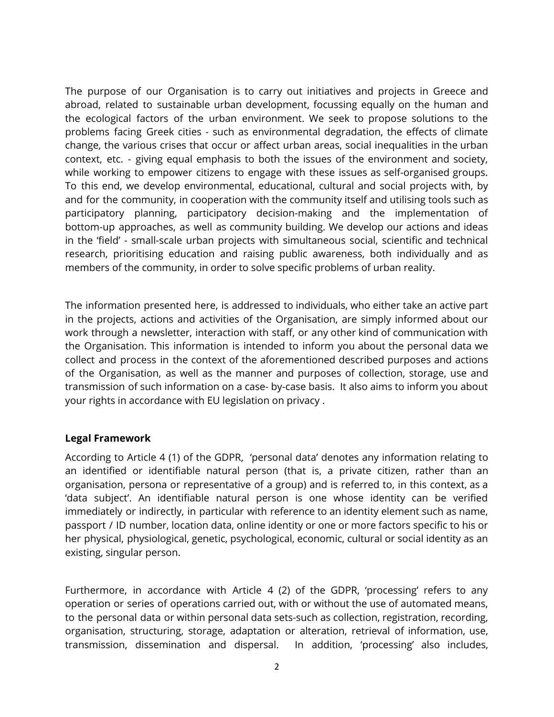The purpose of our Organisation is to carry out initiatives and projects in Greece and abroad, related to sustainable urban development, focussing equally on the human and the ecological factors of the urban environment. We seek to propose solutions to the problems facing Greek cities - such as environmental degradation, the effects of climate change, the various crises that occur or affect urban areas, social inequalities in the urban context, etc. - giving equal emphasis to both the issues of the environment and society, while working to empower citizens to engage with these issues as self-organised groups. To this end, we develop environmental, educational, cultural and social projects with, by and for the community, in cooperation with the community itself and utilising tools such as participatory planning, participatory decision-making and the implementation of bottom-up approaches, as well as community building. We develop our actions and ideas in the 'field' - small-scale urban projects with simultaneous social, scientific and technical research, prioritising education and raising public awareness, both individually and as members of the community, in order to solve specific problems of urban reality.

The information presented here, is addressed to individuals, who either take an active part in the projects, actions and activities of the Organisation, are simply informed about our work through a newsletter, interaction with staff, or any other kind of communication with the Organisation. This information is intended to inform you about the personal data we collect and process in the context of the aforementioned described purposes and actions of the Organisation, as well as the manner and purposes of collection, storage, use and transmission of such information on a case- by-case basis. It also aims to inform you about your rights in accordance with EU legislation on privacy .

### **Legal Framework**

According to Article 4 (1) of the GDPR, 'personal data' denotes any information relating to an identified or identifiable natural person (that is, a private citizen, rather than an organisation, persona or representative of a group) and is referred to, in this context, as a 'data subject'. An identifiable natural person is one whose identity can be verified immediately or indirectly, in particular with reference to an identity element such as name, passport / ID number, location data, online identity or one or more factors specific to his or her physical, physiological, genetic, psychological, economic, cultural or social identity as an existing, singular person.

Furthermore, in accordance with Article 4 (2) of the GDPR, 'processing' refers to any operation or series of operations carried out, with or without the use of automated means, to the personal data or within personal data sets-such as collection, registration, recording, organisation, structuring, storage, adaptation or alteration, retrieval of information, use, transmission, dissemination and dispersal. In addition, 'processing' also includes,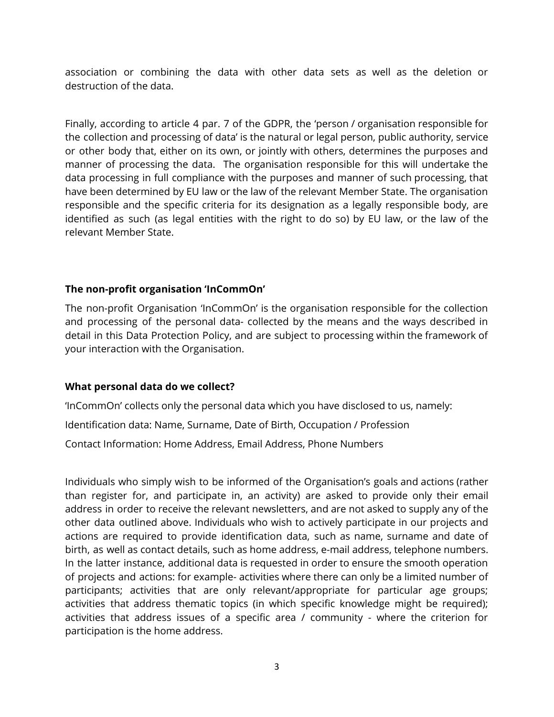association or combining the data with other data sets as well as the deletion or destruction of the data.

Finally, according to article 4 par. 7 of the GDPR, the 'person / organisation responsible for the collection and processing of data' is the natural or legal person, public authority, service or other body that, either on its own, or jointly with others, determines the purposes and manner of processing the data. The organisation responsible for this will undertake the data processing in full compliance with the purposes and manner of such processing, that have been determined by EU law or the law of the relevant Member State. The organisation responsible and the specific criteria for its designation as a legally responsible body, are identified as such (as legal entities with the right to do so) by EU law, or the law of the relevant Member State.

#### **The non-profit organisation 'InCommOn'**

The non-profit Organisation 'InCommOn' is the organisation responsible for the collection and processing of the personal data- collected by the means and the ways described in detail in this Data Protection Policy, and are subject to processing within the framework of your interaction with the Organisation.

### **What personal data do we collect?**

'InCommOn' collects only the personal data which you have disclosed to us, namely:

Identification data: Name, Surname, Date of Birth, Occupation / Profession

Contact Information: Home Address, Email Address, Phone Numbers

Individuals who simply wish to be informed of the Organisation's goals and actions (rather than register for, and participate in, an activity) are asked to provide only their email address in order to receive the relevant newsletters, and are not asked to supply any of the other data outlined above. Individuals who wish to actively participate in our projects and actions are required to provide identification data, such as name, surname and date of birth, as well as contact details, such as home address, e-mail address, telephone numbers. In the latter instance, additional data is requested in order to ensure the smooth operation of projects and actions: for example- activities where there can only be a limited number of participants; activities that are only relevant/appropriate for particular age groups; activities that address thematic topics (in which specific knowledge might be required); activities that address issues of a specific area / community - where the criterion for participation is the home address.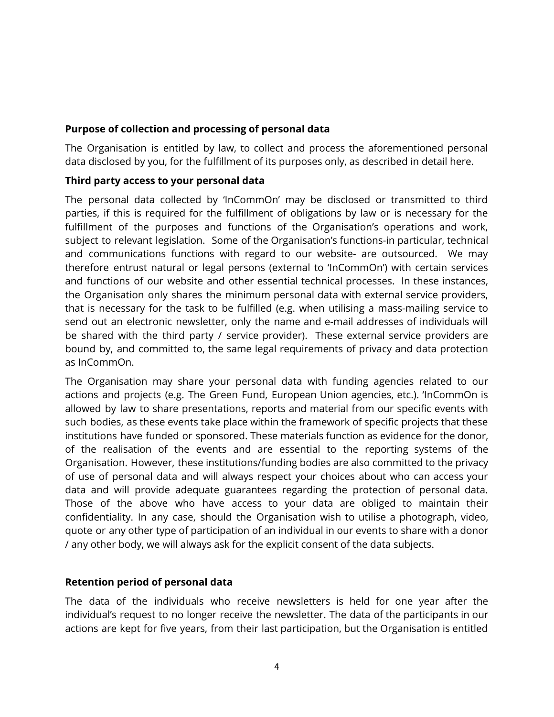### **Purpose of collection and processing of personal data**

The Organisation is entitled by law, to collect and process the aforementioned personal data disclosed by you, for the fulfillment of its purposes only, as described in detail here.

### **Third party access to your personal data**

The personal data collected by 'InCommOn' may be disclosed or transmitted to third parties, if this is required for the fulfillment of obligations by law or is necessary for the fulfillment of the purposes and functions of the Organisation's operations and work, subject to relevant legislation. Some of the Organisation's functions-in particular, technical and communications functions with regard to our website- are outsourced. We may therefore entrust natural or legal persons (external to 'InCommOn') with certain services and functions of our website and other essential technical processes. In these instances, the Organisation only shares the minimum personal data with external service providers, that is necessary for the task to be fulfilled (e.g. when utilising a mass-mailing service to send out an electronic newsletter, only the name and e-mail addresses of individuals will be shared with the third party / service provider). These external service providers are bound by, and committed to, the same legal requirements of privacy and data protection as InCommOn.

The Organisation may share your personal data with funding agencies related to our actions and projects (e.g. The Green Fund, European Union agencies, etc.). 'InCommOn is allowed by law to share presentations, reports and material from our specific events with such bodies, as these events take place within the framework of specific projects that these institutions have funded or sponsored. These materials function as evidence for the donor, of the realisation of the events and are essential to the reporting systems of the Organisation. However, these institutions/funding bodies are also committed to the privacy of use of personal data and will always respect your choices about who can access your data and will provide adequate guarantees regarding the protection of personal data. Those of the above who have access to your data are obliged to maintain their confidentiality. In any case, should the Organisation wish to utilise a photograph, video, quote or any other type of participation of an individual in our events to share with a donor / any other body, we will always ask for the explicit consent of the data subjects.

### **Retention period of personal data**

The data of the individuals who receive newsletters is held for one year after the individual's request to no longer receive the newsletter. The data of the participants in our actions are kept for five years, from their last participation, but the Organisation is entitled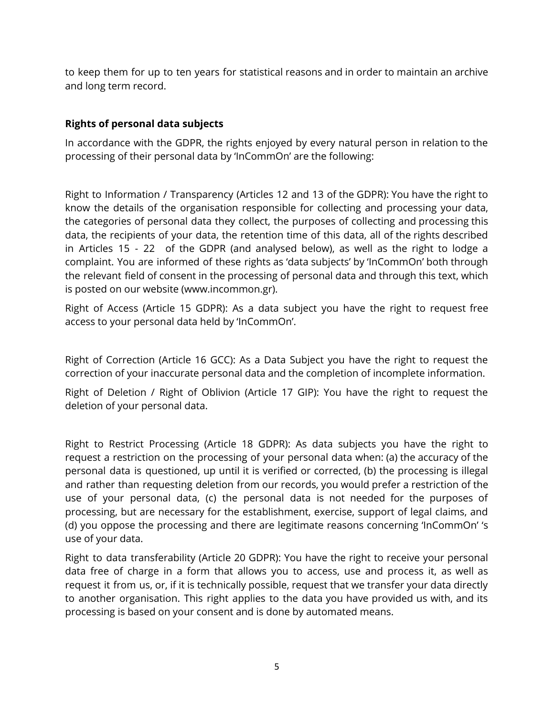to keep them for up to ten years for statistical reasons and in order to maintain an archive and long term record.

## **Rights of personal data subjects**

In accordance with the GDPR, the rights enjoyed by every natural person in relation to the processing of their personal data by 'InCommOn' are the following:

Right to Information / Transparency (Articles 12 and 13 of the GDPR): You have the right to know the details of the organisation responsible for collecting and processing your data, the categories of personal data they collect, the purposes of collecting and processing this data, the recipients of your data, the retention time of this data, all of the rights described in Articles 15 - 22 of the GDPR (and analysed below), as well as the right to lodge a complaint. You are informed of these rights as 'data subjects' by 'InCommOn' both through the relevant field of consent in the processing of personal data and through this text, which is posted on our website (www.incommon.gr).

Right of Access (Article 15 GDPR): As a data subject you have the right to request free access to your personal data held by 'InCommOn'.

Right of Correction (Article 16 GCC): As a Data Subject you have the right to request the correction of your inaccurate personal data and the completion of incomplete information.

Right of Deletion / Right of Oblivion (Article 17 GIP): You have the right to request the deletion of your personal data.

Right to Restrict Processing (Article 18 GDPR): As data subjects you have the right to request a restriction on the processing of your personal data when: (a) the accuracy of the personal data is questioned, up until it is verified or corrected, (b) the processing is illegal and rather than requesting deletion from our records, you would prefer a restriction of the use of your personal data, (c) the personal data is not needed for the purposes of processing, but are necessary for the establishment, exercise, support of legal claims, and (d) you oppose the processing and there are legitimate reasons concerning 'InCommOn' 's use of your data.

Right to data transferability (Article 20 GDPR): You have the right to receive your personal data free of charge in a form that allows you to access, use and process it, as well as request it from us, or, if it is technically possible, request that we transfer your data directly to another organisation. This right applies to the data you have provided us with, and its processing is based on your consent and is done by automated means.